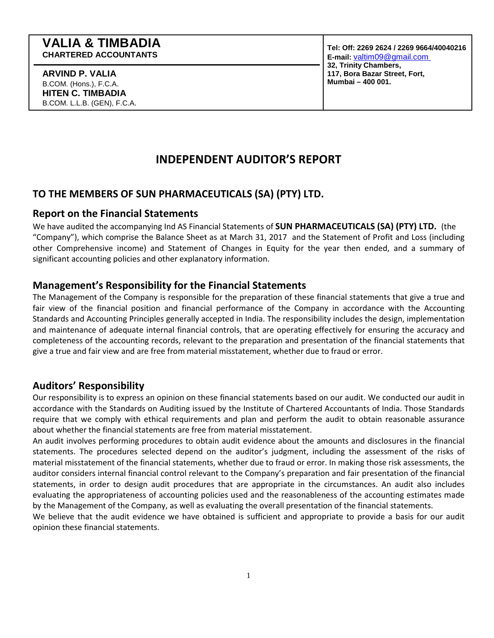## **VALIA & TIMBADIA CHARTERED ACCOUNTANTS**

**ARVIND P. VALIA**  B.COM. (Hons.), F.C.A. **HITEN C. TIMBADIA**  B.COM. L.L.B. (GEN), F.C.A. **Tel: Off: 2269 2624 / 2269 9664/40040216 E-mail:** valtim09@gmail.com **32, Trinity Chambers, 117, Bora Bazar Street, Fort, Mumbai – 400 001.** 

# **INDEPENDENT AUDITOR'S REPORT**

## **TO THE MEMBERS OF SUN PHARMACEUTICALS (SA) (PTY) LTD.**

#### **Report on the Financial Statements**

We have audited the accompanying Ind AS Financial Statements of **SUN PHARMACEUTICALS (SA) (PTY) LTD.** (the "Company"), which comprise the Balance Sheet as at March 31, 2017 and the Statement of Profit and Loss (including other Comprehensive income) and Statement of Changes in Equity for the year then ended, and a summary of significant accounting policies and other explanatory information.

## **Management's Responsibility for the Financial Statements**

The Management of the Company is responsible for the preparation of these financial statements that give a true and fair view of the financial position and financial performance of the Company in accordance with the Accounting Standards and Accounting Principles generally accepted in India. The responsibility includes the design, implementation and maintenance of adequate internal financial controls, that are operating effectively for ensuring the accuracy and completeness of the accounting records, relevant to the preparation and presentation of the financial statements that give a true and fair view and are free from material misstatement, whether due to fraud or error.

## **Auditors' Responsibility**

Our responsibility is to express an opinion on these financial statements based on our audit. We conducted our audit in accordance with the Standards on Auditing issued by the Institute of Chartered Accountants of India. Those Standards require that we comply with ethical requirements and plan and perform the audit to obtain reasonable assurance about whether the financial statements are free from material misstatement.

An audit involves performing procedures to obtain audit evidence about the amounts and disclosures in the financial statements. The procedures selected depend on the auditor's judgment, including the assessment of the risks of material misstatement of the financial statements, whether due to fraud or error. In making those risk assessments, the auditor considers internal financial control relevant to the Company's preparation and fair presentation of the financial statements, in order to design audit procedures that are appropriate in the circumstances. An audit also includes evaluating the appropriateness of accounting policies used and the reasonableness of the accounting estimates made by the Management of the Company, as well as evaluating the overall presentation of the financial statements.

We believe that the audit evidence we have obtained is sufficient and appropriate to provide a basis for our audit opinion these financial statements.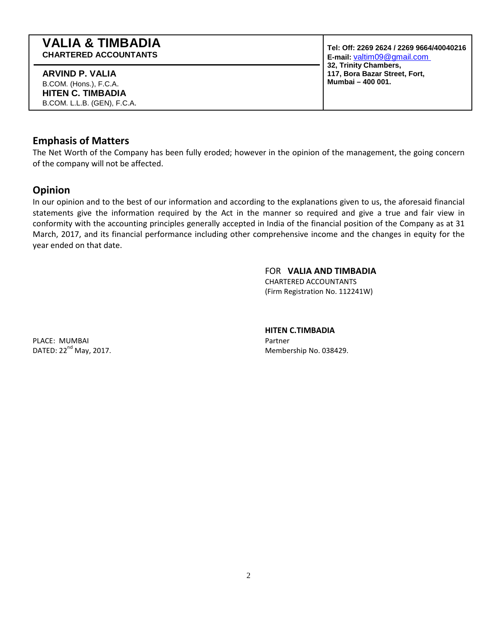## **VALIA & TIMBADIA CHARTERED ACCOUNTANTS**

**ARVIND P. VALIA**  B.COM. (Hons.), F.C.A. **HITEN C. TIMBADIA**  B.COM. L.L.B. (GEN), F.C.A. **Tel: Off: 2269 2624 / 2269 9664/40040216 E-mail:** valtim09@gmail.com **32, Trinity Chambers, 117, Bora Bazar Street, Fort, Mumbai – 400 001.** 

## **Emphasis of Matters**

The Net Worth of the Company has been fully eroded; however in the opinion of the management, the going concern of the company will not be affected.

## **Opinion**

In our opinion and to the best of our information and according to the explanations given to us, the aforesaid financial statements give the information required by the Act in the manner so required and give a true and fair view in conformity with the accounting principles generally accepted in India of the financial position of the Company as at 31 March, 2017, and its financial performance including other comprehensive income and the changes in equity for the year ended on that date.

#### FOR **VALIA AND TIMBADIA**

CHARTERED ACCOUNTANTS (Firm Registration No. 112241W)

PLACE: MUMBAI PARTNERS PARTNERS

#### **HITEN C.TIMBADIA**

DATED:  $22^{nd}$  May, 2017.  $\blacksquare$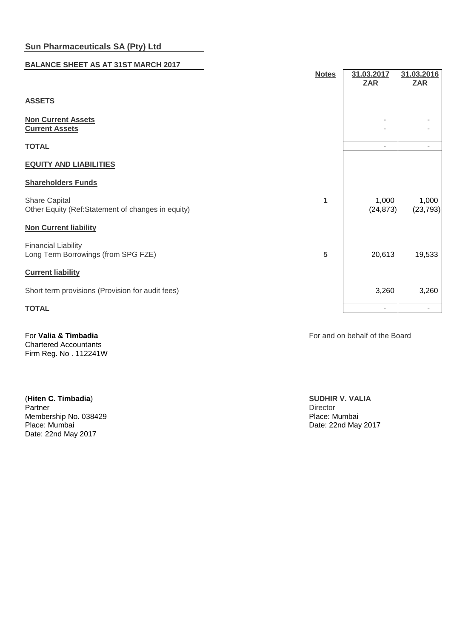## **Sun Pharmaceuticals SA (Pty) Ltd**

#### **BALANCE SHEET AS AT 31ST MARCH 2017**

|                                                                    | <b>Notes</b> | 31.03.2017<br>ZAR  | 31.03.2016<br>ZAR  |
|--------------------------------------------------------------------|--------------|--------------------|--------------------|
| <b>ASSETS</b>                                                      |              |                    |                    |
| <b>Non Current Assets</b><br><b>Current Assets</b>                 |              |                    |                    |
| <b>TOTAL</b>                                                       |              | ۰                  | -                  |
| <b>EQUITY AND LIABILITIES</b>                                      |              |                    |                    |
| <b>Shareholders Funds</b>                                          |              |                    |                    |
| Share Capital<br>Other Equity (Ref:Statement of changes in equity) | 1            | 1,000<br>(24, 873) | 1,000<br>(23, 793) |
| <b>Non Current liability</b>                                       |              |                    |                    |
| <b>Financial Liability</b><br>Long Term Borrowings (from SPG FZE)  | 5            | 20,613             | 19,533             |
| <b>Current liability</b>                                           |              |                    |                    |
| Short term provisions (Provision for audit fees)                   |              | 3,260              | 3,260              |
| <b>TOTAL</b>                                                       |              | ٠                  | -                  |

Chartered Accountants Firm Reg. No . 112241W

(**Hiten C. Timbadia**) **SUDHIR V. VALIA** Partner Director Communication and the Communication of the Communication of the Director Membership No. 038429 Place: Mumbai<br>Place: Mumbai Place: Mumbai Place: Mumbai Place: Mumbai Place: Mumbai Place: Mumbai Date: 22nd May 2017

For **Valia & Timbadia** For and on behalf of the Board

Date: 22nd May 2017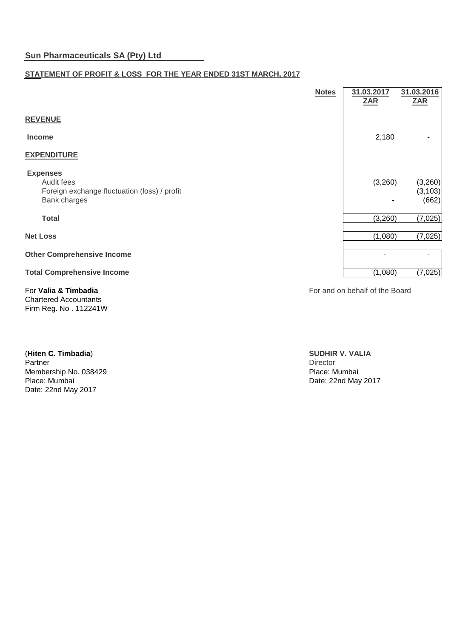#### **STATEMENT OF PROFIT & LOSS FOR THE YEAR ENDED 31ST MARCH, 2017**

|                                                                                               | <b>Notes</b> | 31.03.2017<br><b>ZAR</b> | 31.03.2016<br><b>ZAR</b>     |
|-----------------------------------------------------------------------------------------------|--------------|--------------------------|------------------------------|
| <b>REVENUE</b>                                                                                |              |                          |                              |
| <b>Income</b>                                                                                 |              | 2,180                    |                              |
| <b>EXPENDITURE</b>                                                                            |              |                          |                              |
| <b>Expenses</b><br>Audit fees<br>Foreign exchange fluctuation (loss) / profit<br>Bank charges |              | (3,260)                  | (3,260)<br>(3, 103)<br>(662) |
| <b>Total</b>                                                                                  |              | (3,260)                  | (7,025)                      |
| <b>Net Loss</b>                                                                               |              | (1,080)                  | (7,025)                      |
| <b>Other Comprehensive Income</b>                                                             |              |                          | -                            |
| <b>Total Comprehensive Income</b>                                                             |              | (1,080)                  | (7,025)                      |
|                                                                                               |              |                          |                              |

Chartered Accountants Firm Reg. No . 112241W

(**Hiten C. Timbadia**) **SUDHIR V. VALIA** Partner Director Communication and the communication of the communication of the Director Membership No. 038429 Place: Mumbai Place: Mumbai Date: 22nd May 2017 Date: 22nd May 2017

For **Valia & Timbadia** For and on behalf of the Board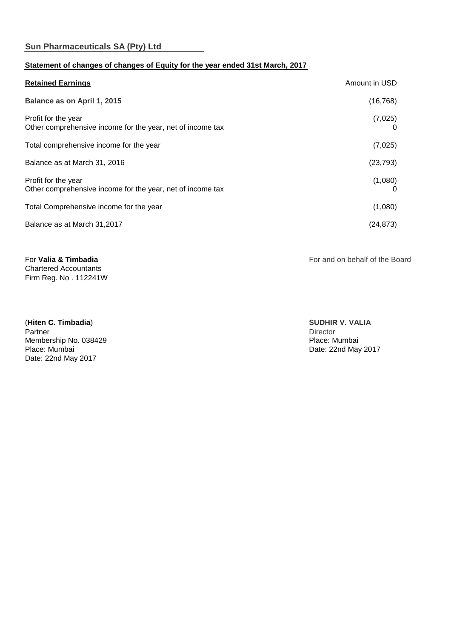## **Sun Pharmaceuticals SA (Pty) Ltd**

### **Statement of changes of changes of Equity for the year ended 31st March, 2017**

| <b>Retained Earnings</b>                                                          | Amount in USD |
|-----------------------------------------------------------------------------------|---------------|
| Balance as on April 1, 2015                                                       | (16, 768)     |
| Profit for the year<br>Other comprehensive income for the year, net of income tax | (7,025)       |
| Total comprehensive income for the year                                           | (7,025)       |
| Balance as at March 31, 2016                                                      | (23, 793)     |
| Profit for the year<br>Other comprehensive income for the year, net of income tax | (1,080)       |
| Total Comprehensive income for the year                                           | (1,080)       |
| Balance as at March 31,2017                                                       | (24, 873)     |

For **Valia & Timbadia** For and on behalf of the Board Chartered Accountants Firm Reg. No . 112241W

(**Hiten C. Timbadia**) **SUDHIR V. VALIA** Partner Director Communication and the communication of the communication of the Director Membership No. 038429 Place: Mumbai Place: Mumbai Date: 22nd May 2017 Date: 22nd May 2017